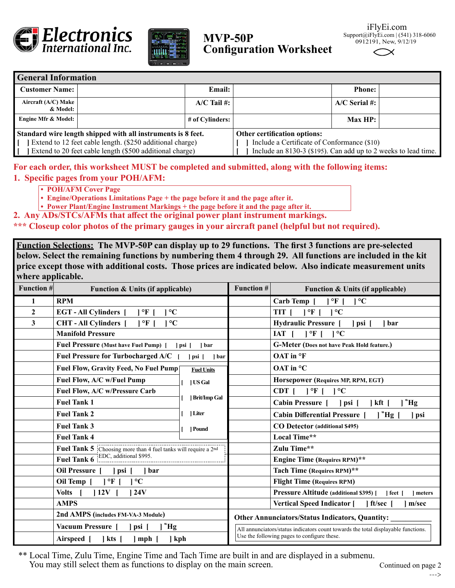



## $MVP-50P$  s **Configuration Worksheet**

| iFlyEi.com                         |
|------------------------------------|
| upport@iFlyEi.com $(541)$ 318-6060 |
| 0912191, New, 9/12/19              |

| <b>General Information</b>                                                                                                                                                            |  |                 |                                                                                                                                               |                 |  |  |  |  |
|---------------------------------------------------------------------------------------------------------------------------------------------------------------------------------------|--|-----------------|-----------------------------------------------------------------------------------------------------------------------------------------------|-----------------|--|--|--|--|
| <b>Customer Name:</b>                                                                                                                                                                 |  | <b>Email:</b>   |                                                                                                                                               | <b>Phone:</b>   |  |  |  |  |
| Aircraft (A/C) Make<br>& Model:                                                                                                                                                       |  | $A/C$ Tail #:   |                                                                                                                                               | $A/C$ Serial #: |  |  |  |  |
| <b>Engine Mfr &amp; Model:</b>                                                                                                                                                        |  | # of Cylinders: |                                                                                                                                               | $Max HP$ :      |  |  |  |  |
| Standard wire length shipped with all instruments is 8 feet.<br>Extend to 12 feet cable length. (\$250 additional charge)<br>Extend to 20 feet cable length (\$500 additional charge) |  |                 | Other certification options:<br>Include a Certificate of Conformance (\$10)<br>Include an 8130-3 (\$195). Can add up to 2 weeks to lead time. |                 |  |  |  |  |

# **For each order, this worksheet MUST be completed and submitted, along with the following items:**

### **1. Specific pages from your POH/AFM:**

- **POH/AFM Cover Page**
- **Engine/Operations Limitations Page + the page before it and the page after it.**
- **Power Plant/Engine Instrument Markings + the page before it and the page after it.**
- **2. Any ADs/STCs/AFMs that affect the original power plant instrument markings.**

**\*\*\* Closeup color photos of the primary gauges in your aircraft panel (helpful but not required).**

**Function Selections: The MVP-50P can display up to 29 functions. The first 3 functions are pre-selected below. Select the remaining functions by numbering them 4 through 29. All functions are included in the kit price except those with additional costs. Those prices are indicated below. Also indicate measurement units where applicable.**

| . .<br><b>Function #</b> | Function & Units (if applicable)                               |                                    | <b>Function #</b>                                                                                                                                                                          | Function & Units (if applicable)                                      |
|--------------------------|----------------------------------------------------------------|------------------------------------|--------------------------------------------------------------------------------------------------------------------------------------------------------------------------------------------|-----------------------------------------------------------------------|
| 1                        | <b>RPM</b>                                                     |                                    |                                                                                                                                                                                            | Carb Temp [<br>$\mathsf{P}^{\mathsf{c}}$<br>$\mathsf{P}^{\mathsf{c}}$ |
| $\overline{2}$           | <b>EGT-All Cylinders</b> [<br>  °F  <br>$\rm ^{\circ}C$        |                                    |                                                                                                                                                                                            | $1^{\circ}$ F  <br>TIT  <br>$1^{\circ}C$                              |
| 3                        | <b>CHT-All Cylinders</b> [<br>$\rm ^{\circ}C$<br>1 °F 1        |                                    |                                                                                                                                                                                            | Hydraulic Pressure [<br>  psi  <br>  bar                              |
|                          | <b>Manifold Pressure</b>                                       |                                    |                                                                                                                                                                                            | IAT<br>$\vert$ °F $\vert$<br>$1^{\circ}C$                             |
|                          | Fuel Pressure (Must have Fuel Pump) [                          | psi <br>1 bar                      |                                                                                                                                                                                            | <b>G-Meter (Does not have Peak Hold feature.)</b>                     |
|                          | <b>Fuel Pressure for Turbocharged A/C</b>                      | l psi [<br>  bar                   |                                                                                                                                                                                            | OAT in °F                                                             |
|                          | Fuel Flow, Gravity Feed, No Fuel Pump                          | <b>Fuel Units</b>                  |                                                                                                                                                                                            | OAT in °C                                                             |
|                          | Fuel Flow, A/C w/Fuel Pump                                     | US Gal                             |                                                                                                                                                                                            | Horsepower (Requires MP, RPM, EGT)                                    |
|                          | Fuel Flow, A/C w/Pressure Carb                                 |                                    |                                                                                                                                                                                            | $CDT$   $\circ F$   $\circ C$                                         |
|                          | <b>Fuel Tank 1</b>                                             | Brit/Imp Gal<br>  Liter<br>  Pound |                                                                                                                                                                                            | "Hg<br><b>Cabin Pressure</b> [<br>  kft<br>  psi [                    |
|                          | <b>Fuel Tank 2</b>                                             |                                    |                                                                                                                                                                                            | $ $ "Hg $ $<br><b>Cabin Differential Pressure</b><br>] psi            |
|                          | <b>Fuel Tank 3</b>                                             |                                    |                                                                                                                                                                                            | CO Detector (additional \$495)                                        |
|                          | <b>Fuel Tank 4</b>                                             |                                    |                                                                                                                                                                                            | Local Time**                                                          |
|                          | Fuel Tank 5 Choosing more than 4 fuel tanks will require a 2nd |                                    |                                                                                                                                                                                            | Zulu Time**                                                           |
|                          | $\text{EDC, additional $995.}$<br><b>Fuel Tank 6</b>           |                                    |                                                                                                                                                                                            | <b>Engine Time (Requires RPM)**</b>                                   |
|                          | Oil Pressure [<br> psi <br>1 bar                               |                                    |                                                                                                                                                                                            | Tach Time (Requires RPM)**                                            |
|                          | Oil Temp [<br>1 °F 1<br>$\rm ^{\circ}C$                        |                                    |                                                                                                                                                                                            | <b>Flight Time (Requires RPM)</b>                                     |
|                          | Volts<br>112V<br>24V                                           |                                    |                                                                                                                                                                                            | <b>Pressure Altitude (additional \$395)</b> [<br>  feet  <br>meters   |
|                          | <b>AMPS</b>                                                    |                                    |                                                                                                                                                                                            | Vertical Speed Indicator [ ] ft/sec [<br>m/sec                        |
|                          | 2nd AMPS (includes FM-VA-3 Module)                             |                                    | <b>Other Annunciators/Status Indicators, Quantity:</b><br>All annunciators/status indicators count towards the total displayable functions.<br>Use the following pages to configure these. |                                                                       |
|                          | "Hg<br>Vacuum Pressure [<br> psi                               |                                    |                                                                                                                                                                                            |                                                                       |
|                          | Airspeed [<br>$ $ kts $ $<br>] kph<br>$]$ mph $[$              |                                    |                                                                                                                                                                                            |                                                                       |

\*\* Local Time, Zulu Time, Engine Time and Tach Time are built in and are displayed in a submenu. You may still select them as functions to display on the main screen.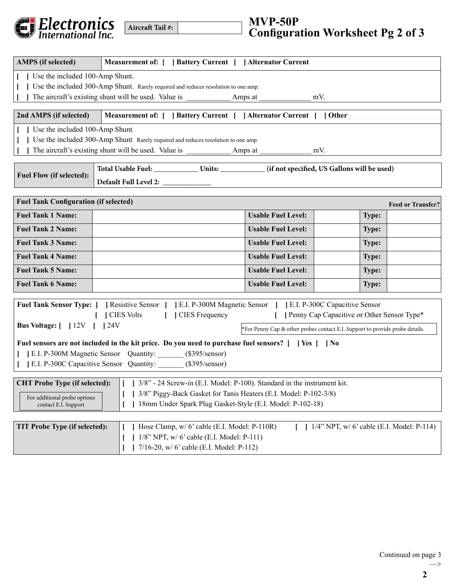

| Aircraft Tail #: |  |
|------------------|--|
|                  |  |

| <b>AMPS</b> (if selected)                                                                                                                                         | Measurement of: [ ] Battery Current [ ] Alternator Current                                                    |                                                                              |                                                |                          |  |  |  |  |
|-------------------------------------------------------------------------------------------------------------------------------------------------------------------|---------------------------------------------------------------------------------------------------------------|------------------------------------------------------------------------------|------------------------------------------------|--------------------------|--|--|--|--|
| Use the included 100-Amp Shunt.                                                                                                                                   |                                                                                                               |                                                                              |                                                |                          |  |  |  |  |
| Use the included 300-Amp Shunt. Rarely required and reduces resolution to one amp.                                                                                |                                                                                                               |                                                                              |                                                |                          |  |  |  |  |
|                                                                                                                                                                   | The aircraft's existing shunt will be used. Value is                                                          | Amps at                                                                      | mV.                                            |                          |  |  |  |  |
| 2nd AMPS (if selected)                                                                                                                                            | Measurement of: [ ] Battery Current [ ] Alternator Current [ ] Other                                          |                                                                              |                                                |                          |  |  |  |  |
| Use the included 100-Amp Shunt.                                                                                                                                   |                                                                                                               |                                                                              |                                                |                          |  |  |  |  |
|                                                                                                                                                                   | Use the included 300-Amp Shunt. Rarely required and reduces resolution to one amp.                            |                                                                              |                                                |                          |  |  |  |  |
|                                                                                                                                                                   | The aircraft's existing shunt will be used. Value is ____________________________                             | Amps at                                                                      | mV.                                            |                          |  |  |  |  |
| <b>Fuel Flow (if selected):</b>                                                                                                                                   |                                                                                                               |                                                                              |                                                |                          |  |  |  |  |
|                                                                                                                                                                   |                                                                                                               |                                                                              |                                                |                          |  |  |  |  |
| <b>Fuel Tank Configuration (if selected)</b>                                                                                                                      |                                                                                                               |                                                                              |                                                | <b>Feed or Transfer?</b> |  |  |  |  |
| <b>Fuel Tank 1 Name:</b>                                                                                                                                          |                                                                                                               | <b>Usable Fuel Level:</b>                                                    | <b>Type:</b>                                   |                          |  |  |  |  |
| <b>Fuel Tank 2 Name:</b>                                                                                                                                          |                                                                                                               | <b>Usable Fuel Level:</b>                                                    | <b>Type:</b>                                   |                          |  |  |  |  |
| <b>Fuel Tank 3 Name:</b>                                                                                                                                          |                                                                                                               | <b>Usable Fuel Level:</b>                                                    | <b>Type:</b>                                   |                          |  |  |  |  |
| <b>Fuel Tank 4 Name:</b>                                                                                                                                          |                                                                                                               | <b>Usable Fuel Level:</b>                                                    | <b>Type:</b>                                   |                          |  |  |  |  |
| <b>Fuel Tank 5 Name:</b>                                                                                                                                          |                                                                                                               | <b>Usable Fuel Level:</b>                                                    | <b>Type:</b>                                   |                          |  |  |  |  |
| <b>Fuel Tank 6 Name:</b>                                                                                                                                          |                                                                                                               | <b>Usable Fuel Level:</b>                                                    | <b>Type:</b>                                   |                          |  |  |  |  |
|                                                                                                                                                                   | Fuel Tank Sensor Type: [ ] Resistive Sensor [ ] E.I. P-300M Magnetic Sensor [ ] E.I. P-300C Capacitive Sensor |                                                                              |                                                |                          |  |  |  |  |
|                                                                                                                                                                   | <b>CIES Volts</b><br>[ ] CIES Frequency                                                                       |                                                                              | [ ] Penny Cap Capacitive or Other Sensor Type* |                          |  |  |  |  |
| <b>Bus Voltage:</b> [   12V     24V                                                                                                                               |                                                                                                               | *For Penny Cap & other probes contact E.I. Support to provide probe details. |                                                |                          |  |  |  |  |
|                                                                                                                                                                   |                                                                                                               |                                                                              |                                                |                          |  |  |  |  |
| Fuel sensors are not included in the kit price. Do you need to purchase fuel sensors? [   ] Yes [   ] No<br>[E.I. P-300M Magnetic Sensor Quantity: (\$395/sensor) |                                                                                                               |                                                                              |                                                |                          |  |  |  |  |
| [E.I. P-300C Capacitive Sensor Quantity: (\$395/sensor)                                                                                                           |                                                                                                               |                                                                              |                                                |                          |  |  |  |  |
| 1 3/8" - 24 Screw-in (E.I. Model: P-100). Standard in the instrument kit.<br><b>CHT Probe Type (if selected):</b>                                                 |                                                                                                               |                                                                              |                                                |                          |  |  |  |  |
| 3/8" Piggy-Back Gasket for Tanis Heaters (E.I. Model: P-102-3/8)                                                                                                  |                                                                                                               |                                                                              |                                                |                          |  |  |  |  |
| For additional probe options<br>18mm Under Spark Plug Gasket-Style (E.I. Model: P-102-18)<br>contact E.I. Support                                                 |                                                                                                               |                                                                              |                                                |                          |  |  |  |  |
|                                                                                                                                                                   |                                                                                                               |                                                                              |                                                |                          |  |  |  |  |
| <b>TIT Probe Type (if selected):</b>                                                                                                                              | Hose Clamp, w/ 6' cable (E.I. Model: P-110R)                                                                  |                                                                              | $1/4$ " NPT, w/ 6' cable (E.I. Model: P-114)   |                          |  |  |  |  |
| 1/8" NPT, w/ 6' cable (E.I. Model: P-111)                                                                                                                         |                                                                                                               |                                                                              |                                                |                          |  |  |  |  |
|                                                                                                                                                                   | 7/16-20, w/ 6' cable (E.I. Model: P-112)                                                                      |                                                                              |                                                |                          |  |  |  |  |

--->